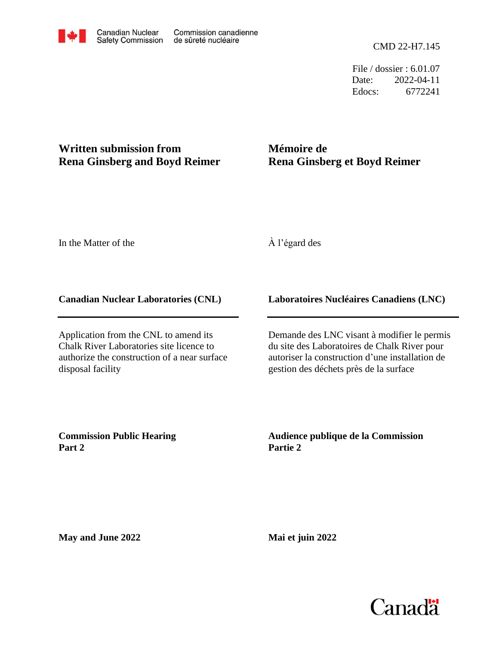File / dossier : 6.01.07 Date: 2022-04-11 Edocs: 6772241

## **Written submission from Rena Ginsberg and Boyd Reimer**

## **Mémoire de Rena Ginsberg et Boyd Reimer**

In the Matter of the

À l'égard des

## **Canadian Nuclear Laboratories (CNL)**

Application from the CNL to amend its Chalk River Laboratories site licence to authorize the construction of a near surface disposal facility

## **Laboratoires Nucléaires Canadiens (LNC)**

Demande des LNC visant à modifier le permis du site des Laboratoires de Chalk River pour autoriser la construction d'une installation de gestion des déchets près de la surface

**Commission Public Hearing Part 2**

**Audience publique de la Commission Partie 2**

**May and June 2022**

**Mai et juin 2022**

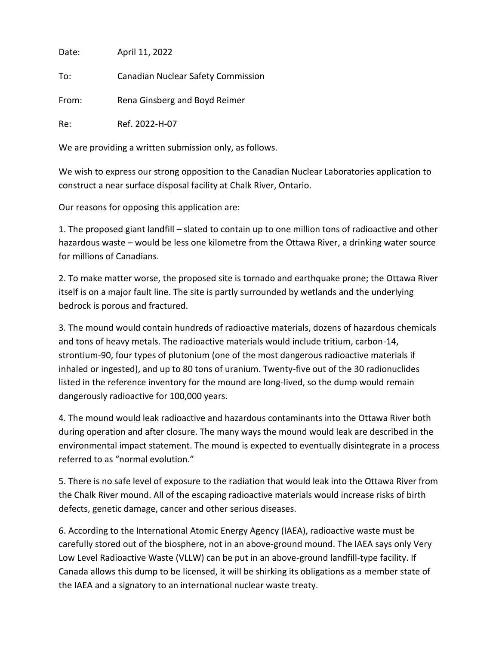Date: April 11, 2022

To: Canadian Nuclear Safety Commission

From: Rena Ginsberg and Boyd Reimer

Re: Ref. 2022-H-07

We are providing a written submission only, as follows.

We wish to express our strong opposition to the Canadian Nuclear Laboratories application to construct a near surface disposal facility at Chalk River, Ontario.

Our reasons for opposing this application are:

1. The proposed giant landfill – slated to contain up to one million tons of radioactive and other hazardous waste – would be less one kilometre from the Ottawa River, a drinking water source for millions of Canadians.

2. To make matter worse, the proposed site is tornado and earthquake prone; the Ottawa River itself is on a major fault line. The site is partly surrounded by wetlands and the underlying bedrock is porous and fractured.

3. The mound would contain hundreds of radioactive materials, dozens of hazardous chemicals and tons of heavy metals. The radioactive materials would include tritium, carbon-14, strontium-90, four types of plutonium (one of the most dangerous radioactive materials if inhaled or ingested), and up to 80 tons of uranium. Twenty-five out of the 30 radionuclides listed in the reference inventory for the mound are long-lived, so the dump would remain dangerously radioactive for 100,000 years.

4. The mound would leak radioactive and hazardous contaminants into the Ottawa River both during operation and after closure. The many ways the mound would leak are described in the environmental impact statement. The mound is expected to eventually disintegrate in a process referred to as "normal evolution."

5. There is no safe level of exposure to the radiation that would leak into the Ottawa River from the Chalk River mound. All of the escaping radioactive materials would increase risks of birth defects, genetic damage, cancer and other serious diseases.

6. According to the International Atomic Energy Agency (IAEA), radioactive waste must be carefully stored out of the biosphere, not in an above-ground mound. The IAEA says only Very Low Level Radioactive Waste (VLLW) can be put in an above-ground landfill-type facility. If Canada allows this dump to be licensed, it will be shirking its obligations as a member state of the IAEA and a signatory to an international nuclear waste treaty.